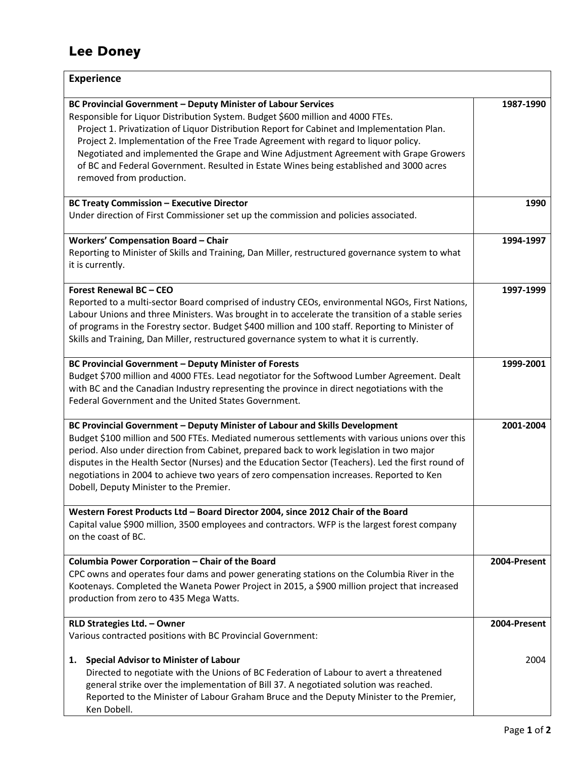## Lee Doney

| <b>Experience</b>                                                                                                                                                                                                                                                                                                                                                                                                                                                                                                                                      |              |
|--------------------------------------------------------------------------------------------------------------------------------------------------------------------------------------------------------------------------------------------------------------------------------------------------------------------------------------------------------------------------------------------------------------------------------------------------------------------------------------------------------------------------------------------------------|--------------|
| BC Provincial Government - Deputy Minister of Labour Services<br>Responsible for Liquor Distribution System. Budget \$600 million and 4000 FTEs.<br>Project 1. Privatization of Liquor Distribution Report for Cabinet and Implementation Plan.<br>Project 2. Implementation of the Free Trade Agreement with regard to liquor policy.<br>Negotiated and implemented the Grape and Wine Adjustment Agreement with Grape Growers<br>of BC and Federal Government. Resulted in Estate Wines being established and 3000 acres<br>removed from production. | 1987-1990    |
| <b>BC Treaty Commission - Executive Director</b><br>Under direction of First Commissioner set up the commission and policies associated.                                                                                                                                                                                                                                                                                                                                                                                                               | 1990         |
| <b>Workers' Compensation Board - Chair</b><br>Reporting to Minister of Skills and Training, Dan Miller, restructured governance system to what<br>it is currently.                                                                                                                                                                                                                                                                                                                                                                                     | 1994-1997    |
| Forest Renewal BC - CEO<br>Reported to a multi-sector Board comprised of industry CEOs, environmental NGOs, First Nations,<br>Labour Unions and three Ministers. Was brought in to accelerate the transition of a stable series<br>of programs in the Forestry sector. Budget \$400 million and 100 staff. Reporting to Minister of<br>Skills and Training, Dan Miller, restructured governance system to what it is currently.                                                                                                                        | 1997-1999    |
| <b>BC Provincial Government - Deputy Minister of Forests</b><br>Budget \$700 million and 4000 FTEs. Lead negotiator for the Softwood Lumber Agreement. Dealt<br>with BC and the Canadian Industry representing the province in direct negotiations with the<br>Federal Government and the United States Government.                                                                                                                                                                                                                                    | 1999-2001    |
| BC Provincial Government - Deputy Minister of Labour and Skills Development<br>Budget \$100 million and 500 FTEs. Mediated numerous settlements with various unions over this<br>period. Also under direction from Cabinet, prepared back to work legislation in two major<br>disputes in the Health Sector (Nurses) and the Education Sector (Teachers). Led the first round of<br>negotiations in 2004 to achieve two years of zero compensation increases. Reported to Ken<br>Dobell, Deputy Minister to the Premier.                               | 2001-2004    |
| Western Forest Products Ltd - Board Director 2004, since 2012 Chair of the Board<br>Capital value \$900 million, 3500 employees and contractors. WFP is the largest forest company<br>on the coast of BC.                                                                                                                                                                                                                                                                                                                                              |              |
| Columbia Power Corporation - Chair of the Board<br>CPC owns and operates four dams and power generating stations on the Columbia River in the<br>Kootenays. Completed the Waneta Power Project in 2015, a \$900 million project that increased<br>production from zero to 435 Mega Watts.                                                                                                                                                                                                                                                              | 2004-Present |
| RLD Strategies Ltd. - Owner<br>Various contracted positions with BC Provincial Government:                                                                                                                                                                                                                                                                                                                                                                                                                                                             | 2004-Present |
| <b>Special Advisor to Minister of Labour</b><br>1.<br>Directed to negotiate with the Unions of BC Federation of Labour to avert a threatened<br>general strike over the implementation of Bill 37. A negotiated solution was reached.<br>Reported to the Minister of Labour Graham Bruce and the Deputy Minister to the Premier,<br>Ken Dobell.                                                                                                                                                                                                        | 2004         |